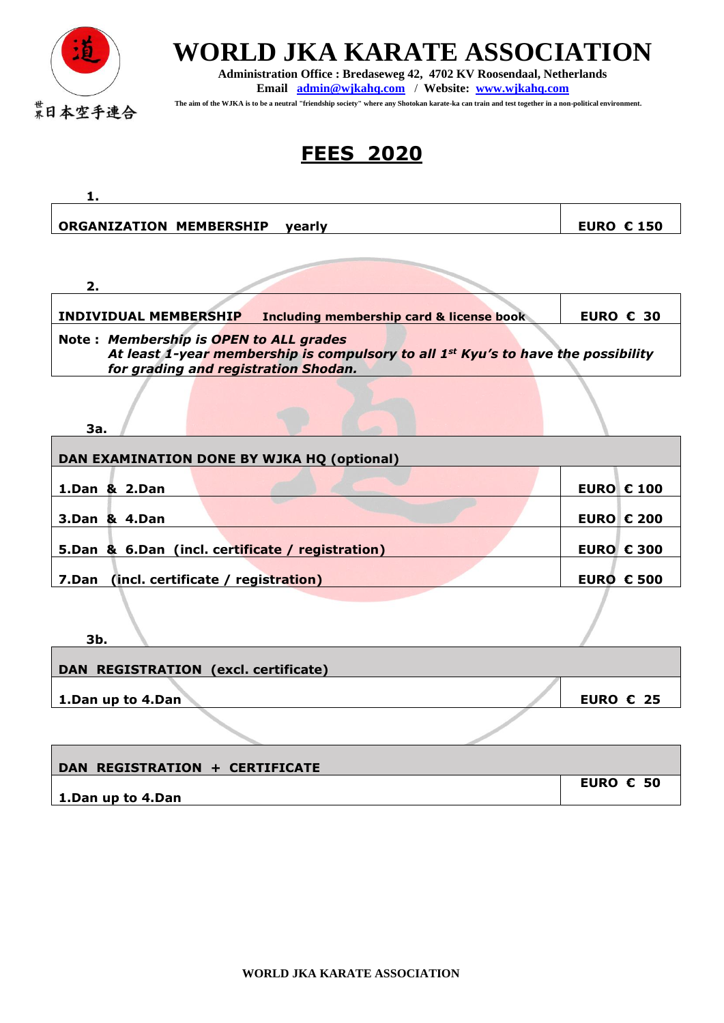

 $\mathbf{r}$ 

## **WORLD JKA KARATE ASSOCIATION**

**Administration Office : Bredaseweg 42, 4702 KV Roosendaal, Netherlands Email [admin@wjkahq.com](mailto:admin@wjkahq.com)** / **Website: [www.wjkahq.com](http://www.wjkahq.com/)**

 **The aim of the WJKA is to be a neutral "friendship society" where any Shotokan karate-ka can train and test together in a non-political environment.**

## **FEES 2020**

| 1.                                                                                                                                                                              |                    |  |
|---------------------------------------------------------------------------------------------------------------------------------------------------------------------------------|--------------------|--|
| <b>ORGANIZATION MEMBERSHIP</b><br>yearly                                                                                                                                        | <b>EURO € 150</b>  |  |
|                                                                                                                                                                                 |                    |  |
| 2.                                                                                                                                                                              |                    |  |
| <b>INDIVIDUAL MEMBERSHIP</b><br><b>Including membership card &amp; license book</b>                                                                                             | EURO $\epsilon$ 30 |  |
| Note: Membership is OPEN to ALL grades<br>At least 1-year membership is compulsory to all 1 <sup>st</sup> Kyu's to have the possibility<br>for grading and registration Shodan. |                    |  |
| За.                                                                                                                                                                             |                    |  |
| DAN EXAMINATION DONE BY WJKA HQ (optional)                                                                                                                                      |                    |  |
| 1.Dan & 2.Dan                                                                                                                                                                   | <b>EURO € 100</b>  |  |
| 3.Dan & 4.Dan                                                                                                                                                                   | <b>EURO € 200</b>  |  |
| 5.Dan & 6.Dan (incl. certificate / registration)                                                                                                                                | <b>EURO € 300</b>  |  |
| (incl. certificate / registration)<br>7.Dan                                                                                                                                     | <b>EURO € 500</b>  |  |
| Зh                                                                                                                                                                              |                    |  |

| ---<br>DAN REGISTRATION (excl. certificate) |                    |
|---------------------------------------------|--------------------|
| $\vert$ 1.Dan up to 4.Dan                   | EURO $\epsilon$ 25 |
|                                             |                    |

| DAN REGISTRATION + CERTIFICATE |                    |
|--------------------------------|--------------------|
|                                | EURO $\epsilon$ 50 |
| 1.Dan up to 4.Dan              |                    |